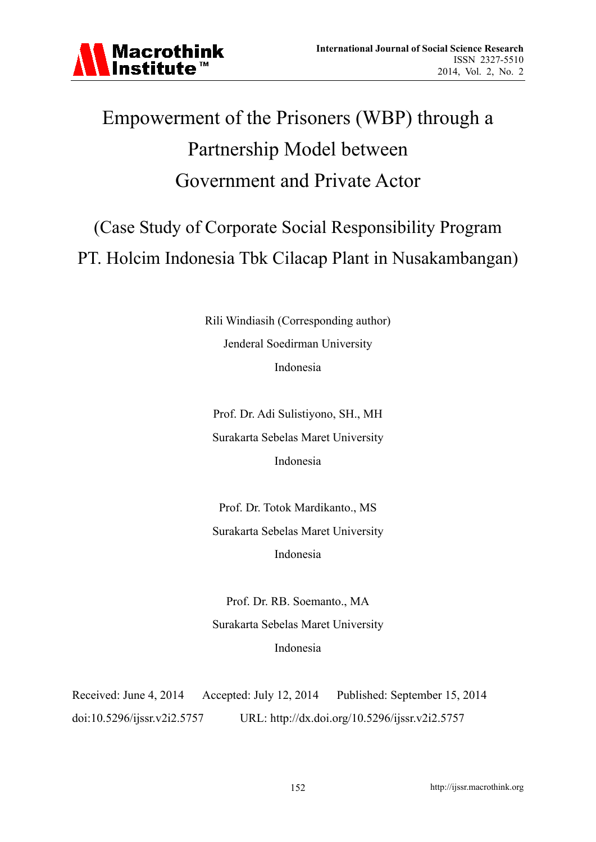# Empowerment of the Prisoners (WBP) through a Partnership Model between Government and Private Actor

(Case Study of Corporate Social Responsibility Program PT. Holcim Indonesia Tbk Cilacap Plant in Nusakambangan)

> Rili Windiasih (Corresponding author) Jenderal Soedirman University Indonesia

Prof. Dr. Adi Sulistiyono, SH., MH Surakarta Sebelas Maret University Indonesia

Prof. Dr. Totok Mardikanto., MS Surakarta Sebelas Maret University Indonesia

Prof. Dr. RB. Soemanto., MA Surakarta Sebelas Maret University Indonesia

Received: June 4, 2014 Accepted: July 12, 2014 Published: September 15, 2014 doi:10.5296/ijssr.v2i2.5757 URL: http://dx.doi.org/10.5296/ijssr.v2i2.5757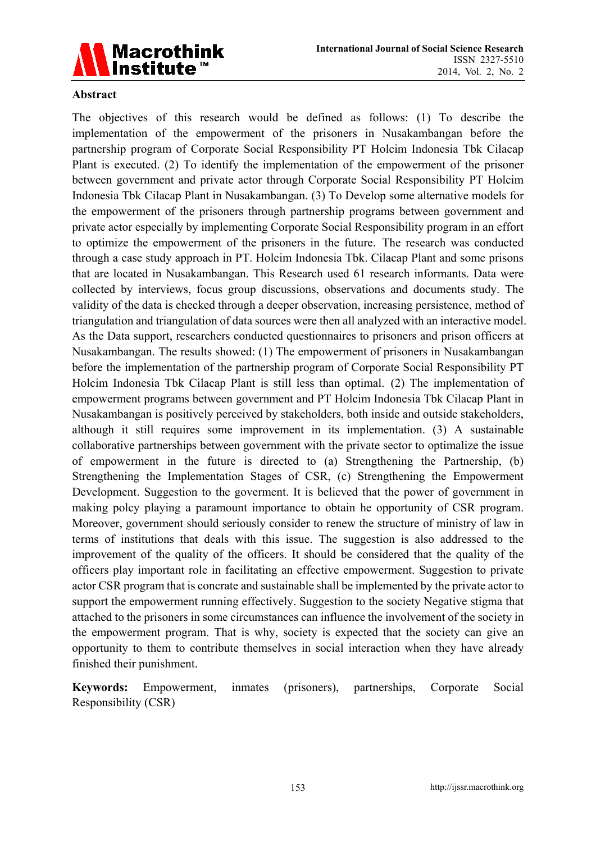

### **Abstract**

The objectives of this research would be defined as follows: (1) To describe the implementation of the empowerment of the prisoners in Nusakambangan before the partnership program of Corporate Social Responsibility PT Holcim Indonesia Tbk Cilacap Plant is executed. (2) To identify the implementation of the empowerment of the prisoner between government and private actor through Corporate Social Responsibility PT Holcim Indonesia Tbk Cilacap Plant in Nusakambangan. (3) To Develop some alternative models for the empowerment of the prisoners through partnership programs between government and private actor especially by implementing Corporate Social Responsibility program in an effort to optimize the empowerment of the prisoners in the future. The research was conducted through a case study approach in PT. Holcim Indonesia Tbk. Cilacap Plant and some prisons that are located in Nusakambangan. This Research used 61 research informants. Data were collected by interviews, focus group discussions, observations and documents study. The validity of the data is checked through a deeper observation, increasing persistence, method of triangulation and triangulation of data sources were then all analyzed with an interactive model. As the Data support, researchers conducted questionnaires to prisoners and prison officers at Nusakambangan. The results showed: (1) The empowerment of prisoners in Nusakambangan before the implementation of the partnership program of Corporate Social Responsibility PT Holcim Indonesia Tbk Cilacap Plant is still less than optimal. (2) The implementation of empowerment programs between government and PT Holcim Indonesia Tbk Cilacap Plant in Nusakambangan is positively perceived by stakeholders, both inside and outside stakeholders, although it still requires some improvement in its implementation. (3) A sustainable collaborative partnerships between government with the private sector to optimalize the issue of empowerment in the future is directed to (a) Strengthening the Partnership, (b) Strengthening the Implementation Stages of CSR, (c) Strengthening the Empowerment Development. Suggestion to the goverment. It is believed that the power of government in making polcy playing a paramount importance to obtain he opportunity of CSR program. Moreover, government should seriously consider to renew the structure of ministry of law in terms of institutions that deals with this issue. The suggestion is also addressed to the improvement of the quality of the officers. It should be considered that the quality of the officers play important role in facilitating an effective empowerment. Suggestion to private actor CSR program that is concrate and sustainable shall be implemented by the private actor to support the empowerment running effectively. Suggestion to the society Negative stigma that attached to the prisoners in some circumstances can influence the involvement of the society in the empowerment program. That is why, society is expected that the society can give an opportunity to them to contribute themselves in social interaction when they have already finished their punishment.

**Keywords:** Empowerment, inmates (prisoners), partnerships, Corporate Social Responsibility (CSR)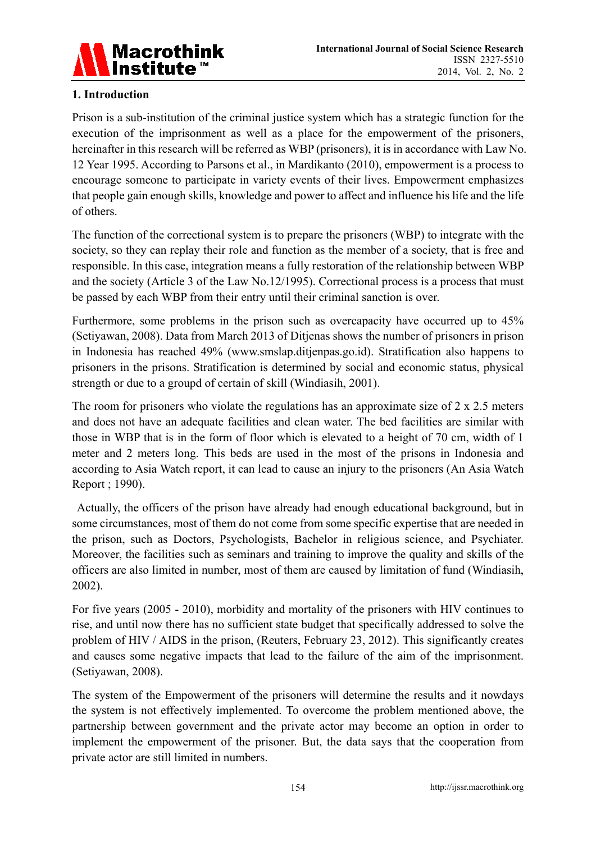

# **1. Introduction**

Prison is a sub-institution of the criminal justice system which has a strategic function for the execution of the imprisonment as well as a place for the empowerment of the prisoners, hereinafter in this research will be referred as WBP (prisoners), it is in accordance with Law No. 12 Year 1995. According to Parsons et al., in Mardikanto (2010), empowerment is a process to encourage someone to participate in variety events of their lives. Empowerment emphasizes that people gain enough skills, knowledge and power to affect and influence his life and the life of others.

The function of the correctional system is to prepare the prisoners (WBP) to integrate with the society, so they can replay their role and function as the member of a society, that is free and responsible. In this case, integration means a fully restoration of the relationship between WBP and the society (Article 3 of the Law No.12/1995). Correctional process is a process that must be passed by each WBP from their entry until their criminal sanction is over.

Furthermore, some problems in the prison such as overcapacity have occurred up to 45% (Setiyawan, 2008). Data from March 2013 of Ditjenas shows the number of prisoners in prison in Indonesia has reached 49% (www.smslap.ditjenpas.go.id). Stratification also happens to prisoners in the prisons. Stratification is determined by social and economic status, physical strength or due to a groupd of certain of skill (Windiasih, 2001).

The room for prisoners who violate the regulations has an approximate size of  $2 \times 2.5$  meters and does not have an adequate facilities and clean water. The bed facilities are similar with those in WBP that is in the form of floor which is elevated to a height of 70 cm, width of 1 meter and 2 meters long. This beds are used in the most of the prisons in Indonesia and according to Asia Watch report, it can lead to cause an injury to the prisoners (An Asia Watch Report ; 1990).

 Actually, the officers of the prison have already had enough educational background, but in some circumstances, most of them do not come from some specific expertise that are needed in the prison, such as Doctors, Psychologists, Bachelor in religious science, and Psychiater. Moreover, the facilities such as seminars and training to improve the quality and skills of the officers are also limited in number, most of them are caused by limitation of fund (Windiasih, 2002).

For five years (2005 - 2010), morbidity and mortality of the prisoners with HIV continues to rise, and until now there has no sufficient state budget that specifically addressed to solve the problem of HIV / AIDS in the prison, (Reuters, February 23, 2012). This significantly creates and causes some negative impacts that lead to the failure of the aim of the imprisonment. (Setiyawan, 2008).

The system of the Empowerment of the prisoners will determine the results and it nowdays the system is not effectively implemented. To overcome the problem mentioned above, the partnership between government and the private actor may become an option in order to implement the empowerment of the prisoner. But, the data says that the cooperation from private actor are still limited in numbers.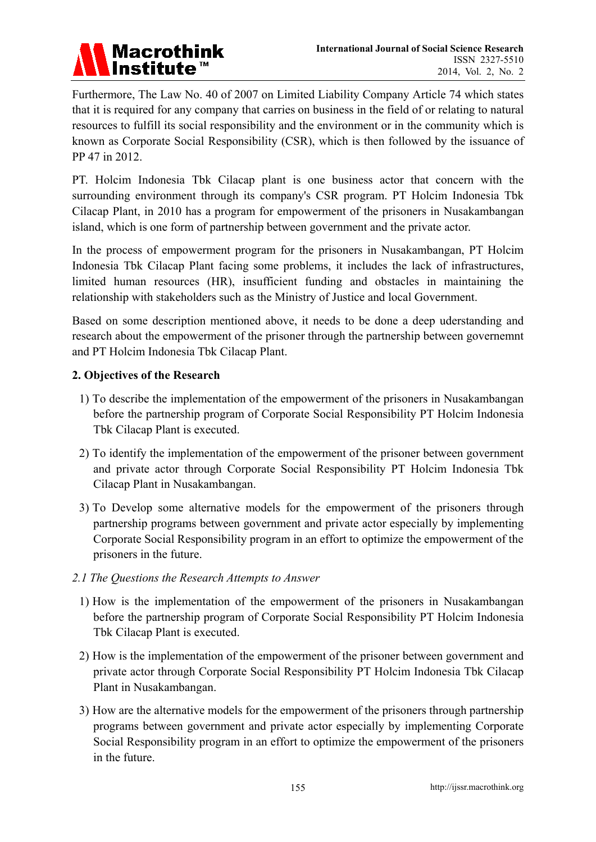

Furthermore, The Law No. 40 of 2007 on Limited Liability Company Article 74 which states that it is required for any company that carries on business in the field of or relating to natural resources to fulfill its social responsibility and the environment or in the community which is known as Corporate Social Responsibility (CSR), which is then followed by the issuance of PP 47 in 2012.

PT. Holcim Indonesia Tbk Cilacap plant is one business actor that concern with the surrounding environment through its company's CSR program. PT Holcim Indonesia Tbk Cilacap Plant, in 2010 has a program for empowerment of the prisoners in Nusakambangan island, which is one form of partnership between government and the private actor.

In the process of empowerment program for the prisoners in Nusakambangan, PT Holcim Indonesia Tbk Cilacap Plant facing some problems, it includes the lack of infrastructures, limited human resources (HR), insufficient funding and obstacles in maintaining the relationship with stakeholders such as the Ministry of Justice and local Government.

Based on some description mentioned above, it needs to be done a deep uderstanding and research about the empowerment of the prisoner through the partnership between governemnt and PT Holcim Indonesia Tbk Cilacap Plant.

## **2. Objectives of the Research**

- 1) To describe the implementation of the empowerment of the prisoners in Nusakambangan before the partnership program of Corporate Social Responsibility PT Holcim Indonesia Tbk Cilacap Plant is executed.
- 2) To identify the implementation of the empowerment of the prisoner between government and private actor through Corporate Social Responsibility PT Holcim Indonesia Tbk Cilacap Plant in Nusakambangan.
- 3) To Develop some alternative models for the empowerment of the prisoners through partnership programs between government and private actor especially by implementing Corporate Social Responsibility program in an effort to optimize the empowerment of the prisoners in the future.
- *2.1 The Questions the Research Attempts to Answer* 
	- 1) How is the implementation of the empowerment of the prisoners in Nusakambangan before the partnership program of Corporate Social Responsibility PT Holcim Indonesia Tbk Cilacap Plant is executed.
	- 2) How is the implementation of the empowerment of the prisoner between government and private actor through Corporate Social Responsibility PT Holcim Indonesia Tbk Cilacap Plant in Nusakambangan.
	- 3) How are the alternative models for the empowerment of the prisoners through partnership programs between government and private actor especially by implementing Corporate Social Responsibility program in an effort to optimize the empowerment of the prisoners in the future.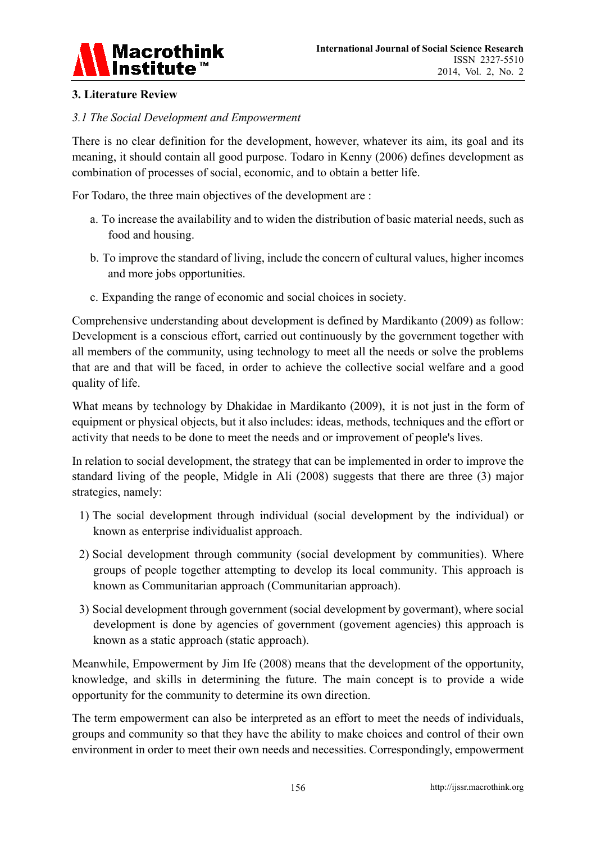

# **3. Literature Review**

## *3.1 The Social Development and Empowerment*

There is no clear definition for the development, however, whatever its aim, its goal and its meaning, it should contain all good purpose. Todaro in Kenny (2006) defines development as combination of processes of social, economic, and to obtain a better life.

For Todaro, the three main objectives of the development are :

- a. To increase the availability and to widen the distribution of basic material needs, such as food and housing.
- b. To improve the standard of living, include the concern of cultural values, higher incomes and more jobs opportunities.
- c. Expanding the range of economic and social choices in society.

Comprehensive understanding about development is defined by Mardikanto (2009) as follow: Development is a conscious effort, carried out continuously by the government together with all members of the community, using technology to meet all the needs or solve the problems that are and that will be faced, in order to achieve the collective social welfare and a good quality of life.

What means by technology by Dhakidae in Mardikanto (2009), it is not just in the form of equipment or physical objects, but it also includes: ideas, methods, techniques and the effort or activity that needs to be done to meet the needs and or improvement of people's lives.

In relation to social development, the strategy that can be implemented in order to improve the standard living of the people, Midgle in Ali (2008) suggests that there are three (3) major strategies, namely:

- 1) The social development through individual (social development by the individual) or known as enterprise individualist approach.
- 2) Social development through community (social development by communities). Where groups of people together attempting to develop its local community. This approach is known as Communitarian approach (Communitarian approach).
- 3) Social development through government (social development by govermant), where social development is done by agencies of government (govement agencies) this approach is known as a static approach (static approach).

Meanwhile, Empowerment by Jim Ife (2008) means that the development of the opportunity, knowledge, and skills in determining the future. The main concept is to provide a wide opportunity for the community to determine its own direction.

The term empowerment can also be interpreted as an effort to meet the needs of individuals, groups and community so that they have the ability to make choices and control of their own environment in order to meet their own needs and necessities. Correspondingly, empowerment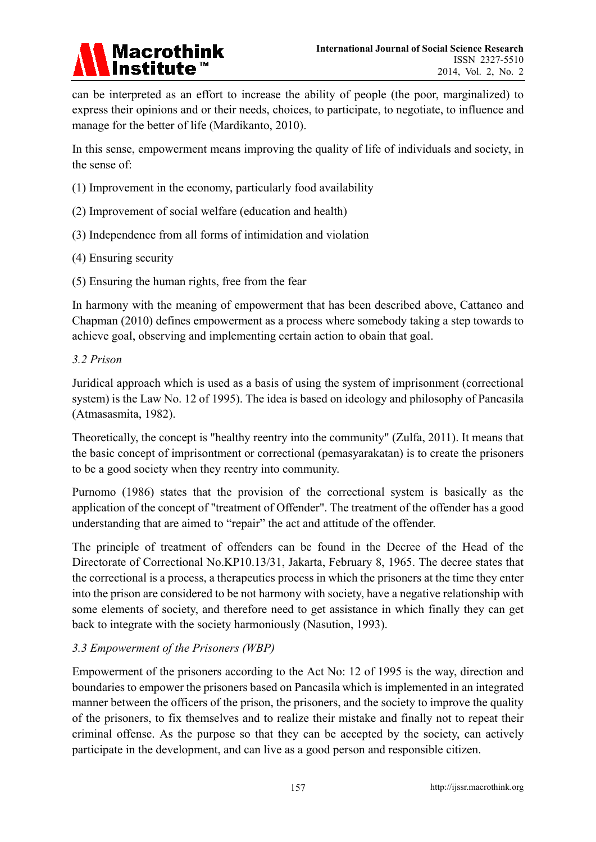

can be interpreted as an effort to increase the ability of people (the poor, marginalized) to express their opinions and or their needs, choices, to participate, to negotiate, to influence and manage for the better of life (Mardikanto, 2010).

In this sense, empowerment means improving the quality of life of individuals and society, in the sense of:

- (1) Improvement in the economy, particularly food availability
- (2) Improvement of social welfare (education and health)
- (3) Independence from all forms of intimidation and violation
- (4) Ensuring security
- (5) Ensuring the human rights, free from the fear

In harmony with the meaning of empowerment that has been described above, Cattaneo and Chapman (2010) defines empowerment as a process where somebody taking a step towards to achieve goal, observing and implementing certain action to obain that goal.

## *3.2 Prison*

Juridical approach which is used as a basis of using the system of imprisonment (correctional system) is the Law No. 12 of 1995). The idea is based on ideology and philosophy of Pancasila (Atmasasmita, 1982).

Theoretically, the concept is "healthy reentry into the community" (Zulfa, 2011). It means that the basic concept of imprisontment or correctional (pemasyarakatan) is to create the prisoners to be a good society when they reentry into community.

Purnomo (1986) states that the provision of the correctional system is basically as the application of the concept of "treatment of Offender". The treatment of the offender has a good understanding that are aimed to "repair" the act and attitude of the offender.

The principle of treatment of offenders can be found in the Decree of the Head of the Directorate of Correctional No.KP10.13/31, Jakarta, February 8, 1965. The decree states that the correctional is a process, a therapeutics process in which the prisoners at the time they enter into the prison are considered to be not harmony with society, have a negative relationship with some elements of society, and therefore need to get assistance in which finally they can get back to integrate with the society harmoniously (Nasution, 1993).

## *3.3 Empowerment of the Prisoners (WBP)*

Empowerment of the prisoners according to the Act No: 12 of 1995 is the way, direction and boundaries to empower the prisoners based on Pancasila which is implemented in an integrated manner between the officers of the prison, the prisoners, and the society to improve the quality of the prisoners, to fix themselves and to realize their mistake and finally not to repeat their criminal offense. As the purpose so that they can be accepted by the society, can actively participate in the development, and can live as a good person and responsible citizen.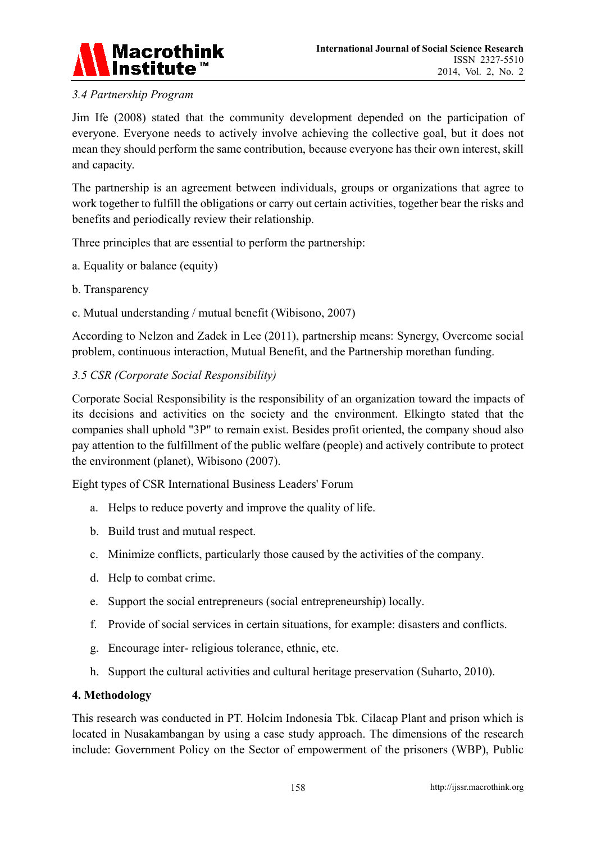

# *3.4 Partnership Program*

Jim Ife (2008) stated that the community development depended on the participation of everyone. Everyone needs to actively involve achieving the collective goal, but it does not mean they should perform the same contribution, because everyone has their own interest, skill and capacity.

The partnership is an agreement between individuals, groups or organizations that agree to work together to fulfill the obligations or carry out certain activities, together bear the risks and benefits and periodically review their relationship.

Three principles that are essential to perform the partnership:

- a. Equality or balance (equity)
- b. Transparency
- c. Mutual understanding / mutual benefit (Wibisono, 2007)

According to Nelzon and Zadek in Lee (2011), partnership means: Synergy, Overcome social problem, continuous interaction, Mutual Benefit, and the Partnership morethan funding.

## *3.5 CSR (Corporate Social Responsibility)*

Corporate Social Responsibility is the responsibility of an organization toward the impacts of its decisions and activities on the society and the environment. Elkingto stated that the companies shall uphold "3P" to remain exist. Besides profit oriented, the company shoud also pay attention to the fulfillment of the public welfare (people) and actively contribute to protect the environment (planet), Wibisono (2007).

Eight types of CSR International Business Leaders' Forum

- a. Helps to reduce poverty and improve the quality of life.
- b. Build trust and mutual respect.
- c. Minimize conflicts, particularly those caused by the activities of the company.
- d. Help to combat crime.
- e. Support the social entrepreneurs (social entrepreneurship) locally.
- f. Provide of social services in certain situations, for example: disasters and conflicts.
- g. Encourage inter- religious tolerance, ethnic, etc.
- h. Support the cultural activities and cultural heritage preservation (Suharto, 2010).

## **4. Methodology**

This research was conducted in PT. Holcim Indonesia Tbk. Cilacap Plant and prison which is located in Nusakambangan by using a case study approach. The dimensions of the research include: Government Policy on the Sector of empowerment of the prisoners (WBP), Public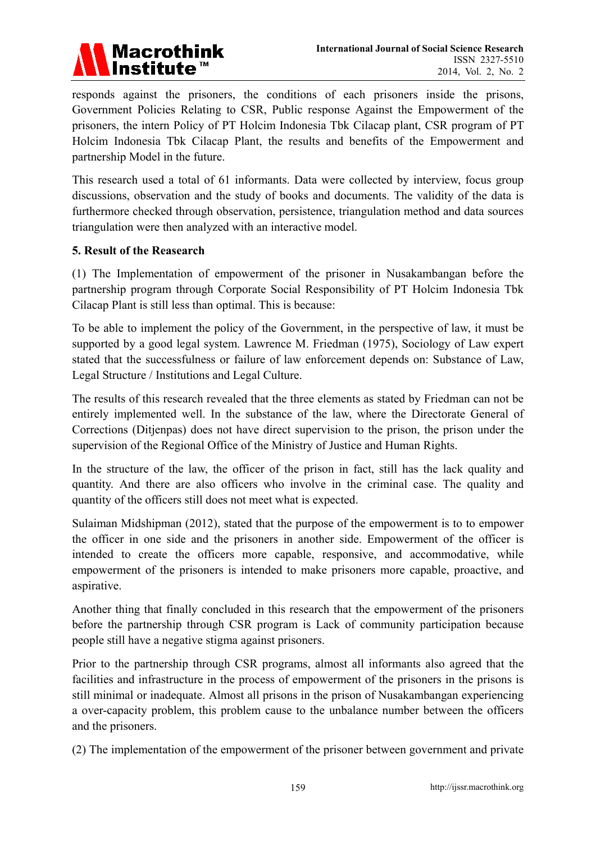

responds against the prisoners, the conditions of each prisoners inside the prisons, Government Policies Relating to CSR, Public response Against the Empowerment of the prisoners, the intern Policy of PT Holcim Indonesia Tbk Cilacap plant, CSR program of PT Holcim Indonesia Tbk Cilacap Plant, the results and benefits of the Empowerment and partnership Model in the future.

This research used a total of 61 informants. Data were collected by interview, focus group discussions, observation and the study of books and documents. The validity of the data is furthermore checked through observation, persistence, triangulation method and data sources triangulation were then analyzed with an interactive model.

## **5. Result of the Reasearch**

(1) The Implementation of empowerment of the prisoner in Nusakambangan before the partnership program through Corporate Social Responsibility of PT Holcim Indonesia Tbk Cilacap Plant is still less than optimal. This is because:

To be able to implement the policy of the Government, in the perspective of law, it must be supported by a good legal system. Lawrence M. Friedman (1975), Sociology of Law expert stated that the successfulness or failure of law enforcement depends on: Substance of Law, Legal Structure / Institutions and Legal Culture.

The results of this research revealed that the three elements as stated by Friedman can not be entirely implemented well. In the substance of the law, where the Directorate General of Corrections (Ditjenpas) does not have direct supervision to the prison, the prison under the supervision of the Regional Office of the Ministry of Justice and Human Rights.

In the structure of the law, the officer of the prison in fact, still has the lack quality and quantity. And there are also officers who involve in the criminal case. The quality and quantity of the officers still does not meet what is expected.

Sulaiman Midshipman (2012), stated that the purpose of the empowerment is to to empower the officer in one side and the prisoners in another side. Empowerment of the officer is intended to create the officers more capable, responsive, and accommodative, while empowerment of the prisoners is intended to make prisoners more capable, proactive, and aspirative.

Another thing that finally concluded in this research that the empowerment of the prisoners before the partnership through CSR program is Lack of community participation because people still have a negative stigma against prisoners.

Prior to the partnership through CSR programs, almost all informants also agreed that the facilities and infrastructure in the process of empowerment of the prisoners in the prisons is still minimal or inadequate. Almost all prisons in the prison of Nusakambangan experiencing a over-capacity problem, this problem cause to the unbalance number between the officers and the prisoners.

(2) The implementation of the empowerment of the prisoner between government and private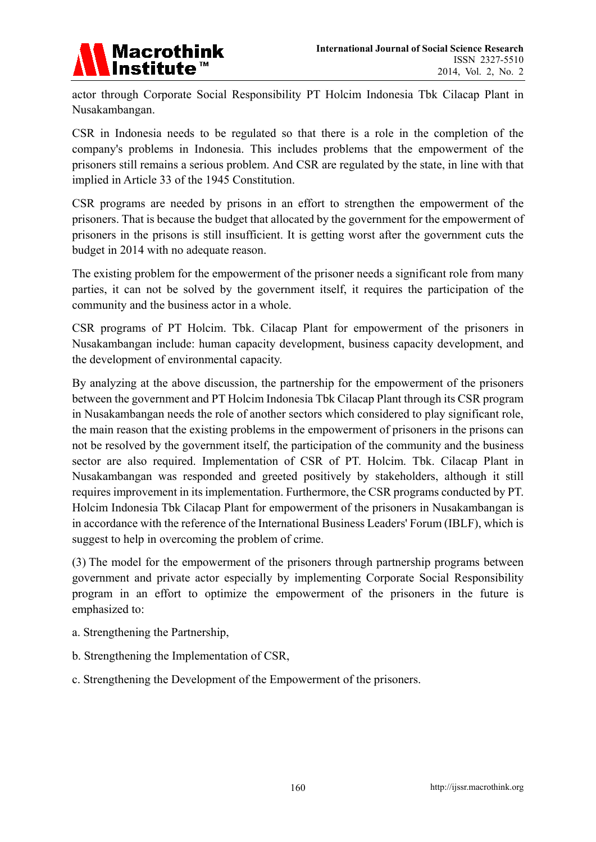

actor through Corporate Social Responsibility PT Holcim Indonesia Tbk Cilacap Plant in Nusakambangan.

CSR in Indonesia needs to be regulated so that there is a role in the completion of the company's problems in Indonesia. This includes problems that the empowerment of the prisoners still remains a serious problem. And CSR are regulated by the state, in line with that implied in Article 33 of the 1945 Constitution.

CSR programs are needed by prisons in an effort to strengthen the empowerment of the prisoners. That is because the budget that allocated by the government for the empowerment of prisoners in the prisons is still insufficient. It is getting worst after the government cuts the budget in 2014 with no adequate reason.

The existing problem for the empowerment of the prisoner needs a significant role from many parties, it can not be solved by the government itself, it requires the participation of the community and the business actor in a whole.

CSR programs of PT Holcim. Tbk. Cilacap Plant for empowerment of the prisoners in Nusakambangan include: human capacity development, business capacity development, and the development of environmental capacity.

By analyzing at the above discussion, the partnership for the empowerment of the prisoners between the government and PT Holcim Indonesia Tbk Cilacap Plant through its CSR program in Nusakambangan needs the role of another sectors which considered to play significant role, the main reason that the existing problems in the empowerment of prisoners in the prisons can not be resolved by the government itself, the participation of the community and the business sector are also required. Implementation of CSR of PT. Holcim. Tbk. Cilacap Plant in Nusakambangan was responded and greeted positively by stakeholders, although it still requires improvement in its implementation. Furthermore, the CSR programs conducted by PT. Holcim Indonesia Tbk Cilacap Plant for empowerment of the prisoners in Nusakambangan is in accordance with the reference of the International Business Leaders' Forum (IBLF), which is suggest to help in overcoming the problem of crime.

(3) The model for the empowerment of the prisoners through partnership programs between government and private actor especially by implementing Corporate Social Responsibility program in an effort to optimize the empowerment of the prisoners in the future is emphasized to:

- a. Strengthening the Partnership,
- b. Strengthening the Implementation of CSR,
- c. Strengthening the Development of the Empowerment of the prisoners.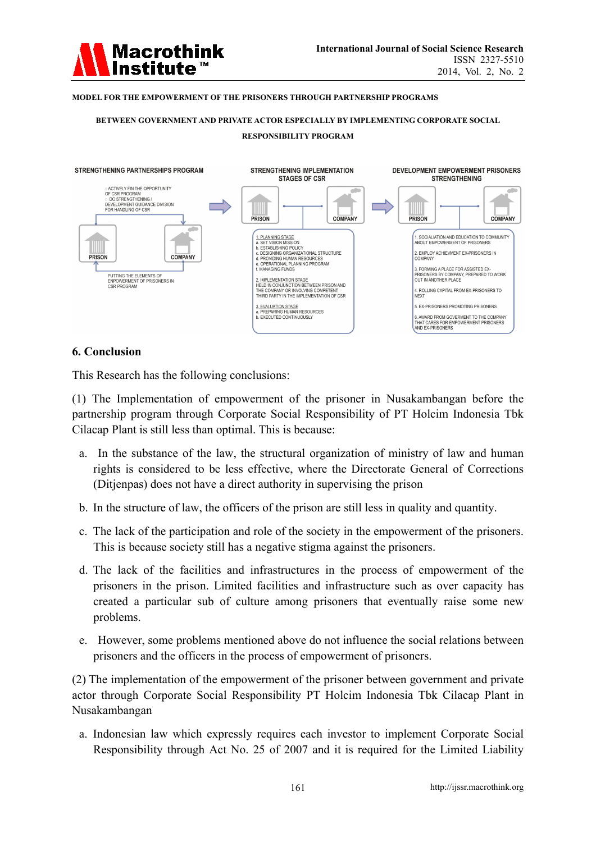

#### **MODEL FOR THE EMPOWERMENT OF THE PRISONERS THROUGH PARTNERSHIP PROGRAMS**

#### **BETWEEN GOVERNMENT AND PRIVATE ACTOR ESPECIALLY BY IMPLEMENTING CORPORATE SOCIAL RESPONSIBILITY PROGRAM**



#### **6. Conclusion**

This Research has the following conclusions:

(1) The Implementation of empowerment of the prisoner in Nusakambangan before the partnership program through Corporate Social Responsibility of PT Holcim Indonesia Tbk Cilacap Plant is still less than optimal. This is because:

- a. In the substance of the law, the structural organization of ministry of law and human rights is considered to be less effective, where the Directorate General of Corrections (Ditjenpas) does not have a direct authority in supervising the prison
- b. In the structure of law, the officers of the prison are still less in quality and quantity.
- c. The lack of the participation and role of the society in the empowerment of the prisoners. This is because society still has a negative stigma against the prisoners.
- d. The lack of the facilities and infrastructures in the process of empowerment of the prisoners in the prison. Limited facilities and infrastructure such as over capacity has created a particular sub of culture among prisoners that eventually raise some new problems.
- e. However, some problems mentioned above do not influence the social relations between prisoners and the officers in the process of empowerment of prisoners.

(2) The implementation of the empowerment of the prisoner between government and private actor through Corporate Social Responsibility PT Holcim Indonesia Tbk Cilacap Plant in Nusakambangan

a. Indonesian law which expressly requires each investor to implement Corporate Social Responsibility through Act No. 25 of 2007 and it is required for the Limited Liability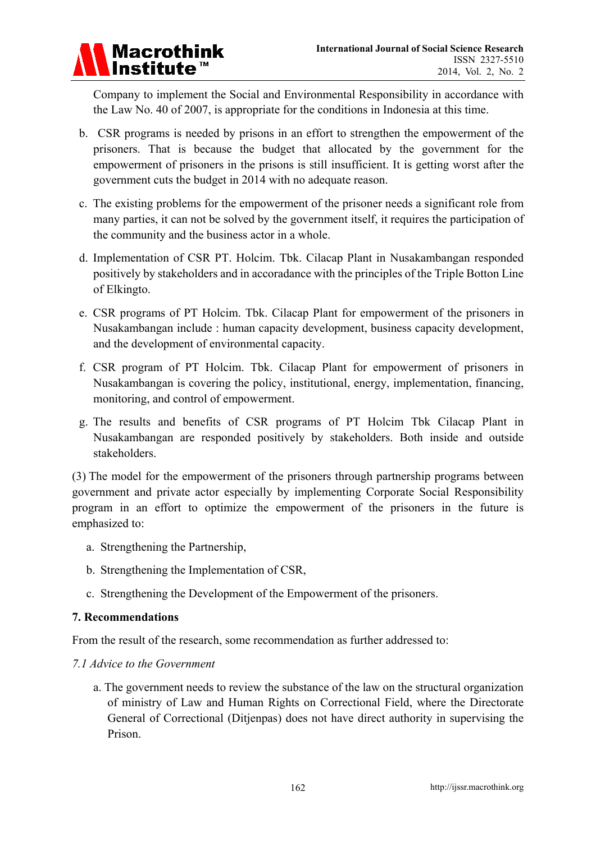

Company to implement the Social and Environmental Responsibility in accordance with the Law No. 40 of 2007, is appropriate for the conditions in Indonesia at this time.

- b. CSR programs is needed by prisons in an effort to strengthen the empowerment of the prisoners. That is because the budget that allocated by the government for the empowerment of prisoners in the prisons is still insufficient. It is getting worst after the government cuts the budget in 2014 with no adequate reason.
- c. The existing problems for the empowerment of the prisoner needs a significant role from many parties, it can not be solved by the government itself, it requires the participation of the community and the business actor in a whole.
- d. Implementation of CSR PT. Holcim. Tbk. Cilacap Plant in Nusakambangan responded positively by stakeholders and in accoradance with the principles of the Triple Botton Line of Elkingto.
- e. CSR programs of PT Holcim. Tbk. Cilacap Plant for empowerment of the prisoners in Nusakambangan include : human capacity development, business capacity development, and the development of environmental capacity.
- f. CSR program of PT Holcim. Tbk. Cilacap Plant for empowerment of prisoners in Nusakambangan is covering the policy, institutional, energy, implementation, financing, monitoring, and control of empowerment.
- g. The results and benefits of CSR programs of PT Holcim Tbk Cilacap Plant in Nusakambangan are responded positively by stakeholders. Both inside and outside stakeholders.

(3) The model for the empowerment of the prisoners through partnership programs between government and private actor especially by implementing Corporate Social Responsibility program in an effort to optimize the empowerment of the prisoners in the future is emphasized to:

- a. Strengthening the Partnership,
- b. Strengthening the Implementation of CSR,
- c. Strengthening the Development of the Empowerment of the prisoners.

## **7. Recommendations**

From the result of the research, some recommendation as further addressed to:

## *7.1 Advice to the Government*

a. The government needs to review the substance of the law on the structural organization of ministry of Law and Human Rights on Correctional Field, where the Directorate General of Correctional (Ditjenpas) does not have direct authority in supervising the Prison.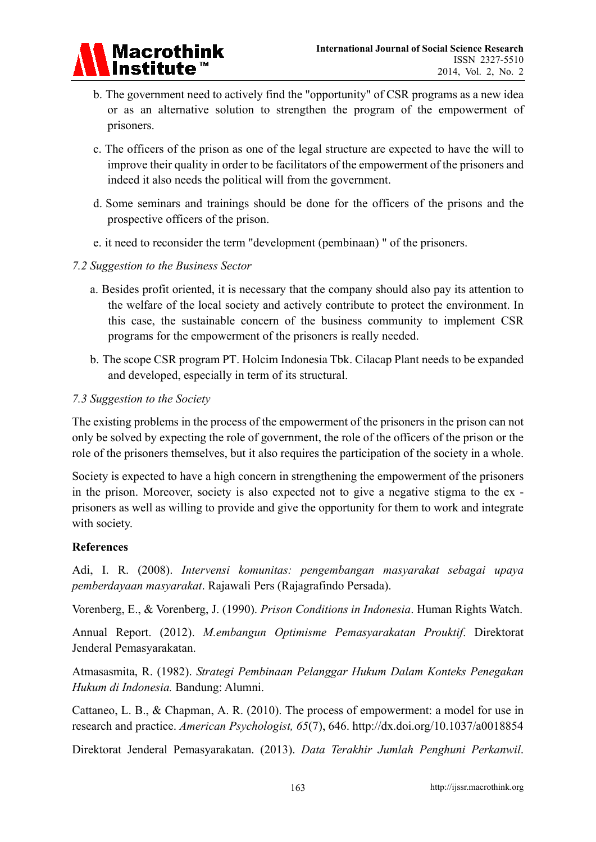

- b. The government need to actively find the "opportunity" of CSR programs as a new idea or as an alternative solution to strengthen the program of the empowerment of prisoners.
- c. The officers of the prison as one of the legal structure are expected to have the will to improve their quality in order to be facilitators of the empowerment of the prisoners and indeed it also needs the political will from the government.
- d. Some seminars and trainings should be done for the officers of the prisons and the prospective officers of the prison.
- e. it need to reconsider the term "development (pembinaan) " of the prisoners.

## *7.2 Suggestion to the Business Sector*

- a. Besides profit oriented, it is necessary that the company should also pay its attention to the welfare of the local society and actively contribute to protect the environment. In this case, the sustainable concern of the business community to implement CSR programs for the empowerment of the prisoners is really needed.
- b. The scope CSR program PT. Holcim Indonesia Tbk. Cilacap Plant needs to be expanded and developed, especially in term of its structural.

## *7.3 Suggestion to the Society*

The existing problems in the process of the empowerment of the prisoners in the prison can not only be solved by expecting the role of government, the role of the officers of the prison or the role of the prisoners themselves, but it also requires the participation of the society in a whole.

Society is expected to have a high concern in strengthening the empowerment of the prisoners in the prison. Moreover, society is also expected not to give a negative stigma to the ex prisoners as well as willing to provide and give the opportunity for them to work and integrate with society.

## **References**

Adi, I. R. (2008). *Intervensi komunitas: pengembangan masyarakat sebagai upaya pemberdayaan masyarakat*. Rajawali Pers (Rajagrafindo Persada).

Vorenberg, E., & Vorenberg, J. (1990). *Prison Conditions in Indonesia*. Human Rights Watch.

Annual Report. (2012). *M.embangun Optimisme Pemasyarakatan Prouktif*. Direktorat Jenderal Pemasyarakatan.

Atmasasmita, R. (1982). *Strategi Pembinaan Pelanggar Hukum Dalam Konteks Penegakan Hukum di Indonesia.* Bandung: Alumni.

Cattaneo, L. B., & Chapman, A. R. (2010). The process of empowerment: a model for use in research and practice. *American Psychologist, 65*(7), 646. http://dx.doi.org/10.1037/a0018854

Direktorat Jenderal Pemasyarakatan. (2013). *Data Terakhir Jumlah Penghuni Perkanwil*.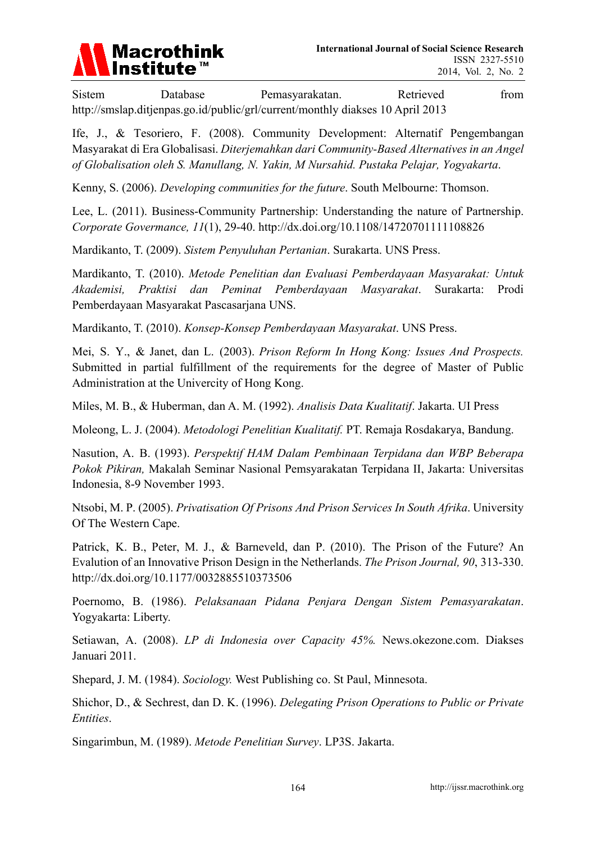

Sistem Database Pemasyarakatan. Retrieved from http://smslap.ditjenpas.go.id/public/grl/current/monthly diakses 10 April 2013

Ife, J., & Tesoriero, F. (2008). Community Development: Alternatif Pengembangan Masyarakat di Era Globalisasi. *Diterjemahkan dari Community-Based Alternatives in an Angel of Globalisation oleh S. Manullang, N. Yakin, M Nursahid. Pustaka Pelajar, Yogyakarta*.

Kenny, S. (2006). *Developing communities for the future*. South Melbourne: Thomson.

Lee, L. (2011). Business-Community Partnership: Understanding the nature of Partnership. *Corporate Govermance, 11*(1), 29-40. http://dx.doi.org/10.1108/14720701111108826

Mardikanto, T. (2009). *Sistem Penyuluhan Pertanian*. Surakarta. UNS Press.

Mardikanto, T. (2010). *Metode Penelitian dan Evaluasi Pemberdayaan Masyarakat: Untuk Akademisi, Praktisi dan Peminat Pemberdayaan Masyarakat*. Surakarta: Prodi Pemberdayaan Masyarakat Pascasarjana UNS.

Mardikanto, T. (2010). *Konsep-Konsep Pemberdayaan Masyarakat*. UNS Press.

Mei, S. Y., & Janet, dan L. (2003). *Prison Reform In Hong Kong: Issues And Prospects.* Submitted in partial fulfillment of the requirements for the degree of Master of Public Administration at the Univercity of Hong Kong.

Miles, M. B., & Huberman, dan A. M. (1992). *Analisis Data Kualitatif*. Jakarta. UI Press

Moleong, L. J. (2004). *Metodologi Penelitian Kualitatif.* PT. Remaja Rosdakarya, Bandung.

Nasution, A. B. (1993). *Perspektif HAM Dalam Pembinaan Terpidana dan WBP Beberapa Pokok Pikiran,* Makalah Seminar Nasional Pemsyarakatan Terpidana II, Jakarta: Universitas Indonesia, 8-9 November 1993.

Ntsobi, M. P. (2005). *Privatisation Of Prisons And Prison Services In South Afrika*. University Of The Western Cape.

Patrick, K. B., Peter, M. J., & Barneveld, dan P. (2010). The Prison of the Future? An Evalution of an Innovative Prison Design in the Netherlands. *The Prison Journal, 90*, 313-330. http://dx.doi.org/10.1177/0032885510373506

Poernomo, B. (1986). *Pelaksanaan Pidana Penjara Dengan Sistem Pemasyarakatan*. Yogyakarta: Liberty.

Setiawan, A. (2008). *LP di Indonesia over Capacity 45%.* News.okezone.com. Diakses Januari 2011.

Shepard, J. M. (1984). *Sociology.* West Publishing co. St Paul, Minnesota.

Shichor, D., & Sechrest, dan D. K. (1996). *Delegating Prison Operations to Public or Private Entities*.

Singarimbun, M. (1989). *Metode Penelitian Survey*. LP3S. Jakarta.